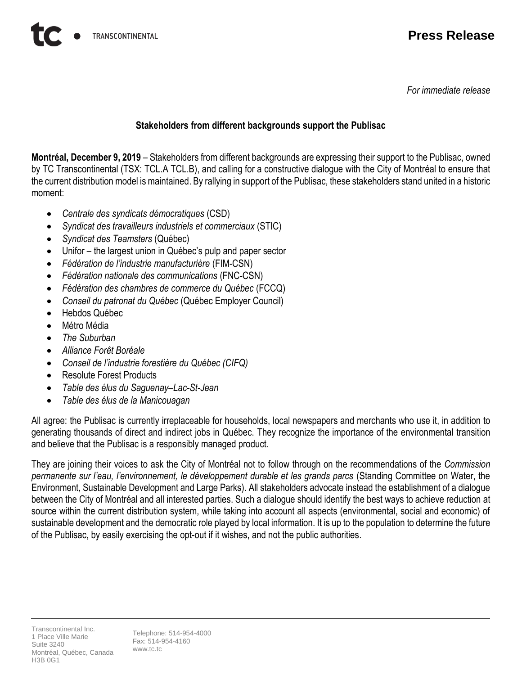*For immediate release*

## **Stakeholders from different backgrounds support the Publisac**

**Montréal, December 9, 2019** – Stakeholders from different backgrounds are expressing their support to the Publisac, owned by TC Transcontinental (TSX: TCL.A TCL.B), and calling for a constructive dialogue with the City of Montréal to ensure that the current distribution model is maintained. By rallying in support of the Publisac, these stakeholders stand united in a historic moment:

- *Centrale des syndicats démocratiques* (CSD)
- *Syndicat des travailleurs industriels et commerciaux* (STIC)
- *Syndicat des Teamsters* (Québec)
- Unifor the largest union in Québec's pulp and paper sector
- *Fédération de l'industrie manufacturière* (FIM-CSN)
- *Fédération nationale des communications* (FNC-CSN)
- *Fédération des chambres de commerce du Québec* (FCCQ)
- *Conseil du patronat du Québec* (Québec Employer Council)
- Hebdos Québec
- Métro Média
- *The Suburban*
- *Alliance Forêt Boréale*
- *Conseil de l'industrie forestière du Québec (CIFQ)*
- Resolute Forest Products
- *Table des élus du Saguenay–Lac-St-Jean*
- *Table des élus de la Manicouagan*

All agree: the Publisac is currently irreplaceable for households, local newspapers and merchants who use it, in addition to generating thousands of direct and indirect jobs in Québec. They recognize the importance of the environmental transition and believe that the Publisac is a responsibly managed product.

They are joining their voices to ask the City of Montréal not to follow through on the recommendations of the *Commission permanente sur l'eau, l'environnement, le développement durable et les grands parcs* (Standing Committee on Water, the Environment, Sustainable Development and Large Parks). All stakeholders advocate instead the establishment of a dialogue between the City of Montréal and all interested parties. Such a dialogue should identify the best ways to achieve reduction at source within the current distribution system, while taking into account all aspects (environmental, social and economic) of sustainable development and the democratic role played by local information. It is up to the population to determine the future of the Publisac, by easily exercising the opt-out if it wishes, and not the public authorities.